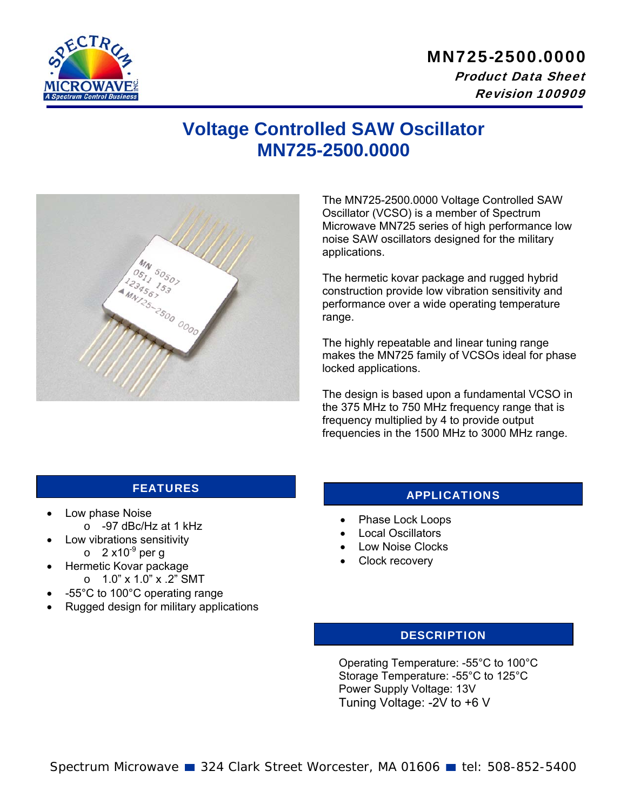

## MN725-2500.0000 Product Data Sheet Revision 100909

## **Voltage Controlled SAW Oscillator MN725-2500.0000**



The MN725-2500.0000 Voltage Controlled SAW Oscillator (VCSO) is a member of Spectrum Microwave MN725 series of high performance low noise SAW oscillators designed for the military applications.

The hermetic kovar package and rugged hybrid construction provide low vibration sensitivity and performance over a wide operating temperature range.

The highly repeatable and linear tuning range makes the MN725 family of VCSOs ideal for phase locked applications.

The design is based upon a fundamental VCSO in the 375 MHz to 750 MHz frequency range that is frequency multiplied by 4 to provide output frequencies in the 1500 MHz to 3000 MHz range.

- Low phase Noise
	- o -97 dBc/Hz at 1 kHz
- Low vibrations sensitivity  $\circ$  2 x10<sup>-9</sup> per g
- Hermetic Kovar package  $O$  1.0" x 1.0" x .2" SMT
- -55°C to 100°C operating range
- Rugged design for military applications

## FEATURES APPLICATIONS

- Phase Lock Loops
- Local Oscillators
- Low Noise Clocks
- Clock recovery

#### **DESCRIPTION**

Operating Temperature: -55°C to 100°C Storage Temperature: -55°C to 125°C Power Supply Voltage: 13V Tuning Voltage: -2V to +6 V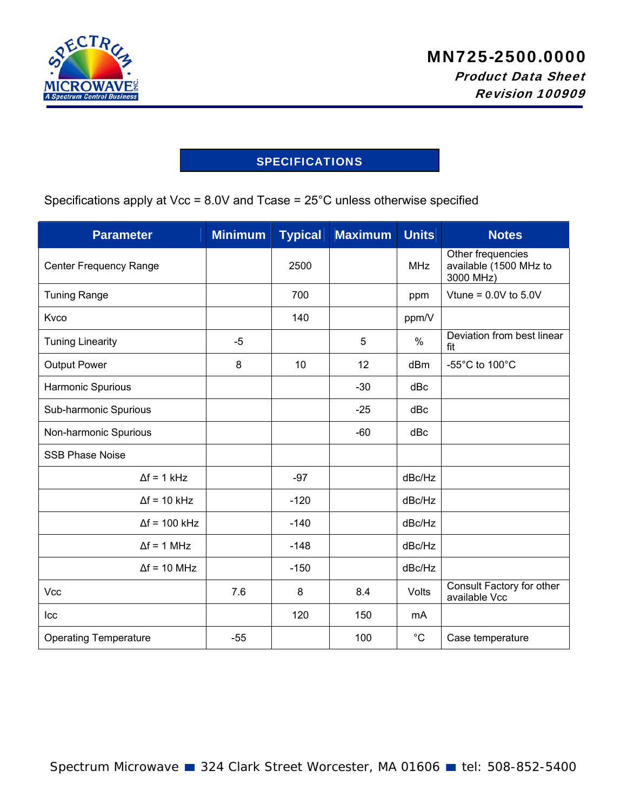

### SPECIFICATIONS

Specifications apply at Vcc = 8.0V and Tcase = 25°C unless otherwise specified

| <b>Parameter</b>              | <b>Minimum</b> | <b>Typical</b> | <b>Maximum</b> | <b>Units</b> | <b>Notes</b>                                             |
|-------------------------------|----------------|----------------|----------------|--------------|----------------------------------------------------------|
| <b>Center Frequency Range</b> |                | 2500           |                | <b>MHz</b>   | Other frequencies<br>available (1500 MHz to<br>3000 MHz) |
| <b>Tuning Range</b>           |                | 700            |                | ppm          | Vtune = $0.0V$ to $5.0V$                                 |
| Kvco                          |                | 140            |                | ppm/V        |                                                          |
| <b>Tuning Linearity</b>       | $-5$           |                | 5              | $\%$         | Deviation from best linear<br>fit                        |
| <b>Output Power</b>           | 8              | 10             | 12             | dBm          | -55 $^{\circ}$ C to 100 $^{\circ}$ C                     |
| Harmonic Spurious             |                |                | $-30$          | dBc          |                                                          |
| Sub-harmonic Spurious         |                |                | $-25$          | dBc          |                                                          |
| Non-harmonic Spurious         |                |                | $-60$          | dBc          |                                                          |
| <b>SSB Phase Noise</b>        |                |                |                |              |                                                          |
| $\Delta f = 1$ kHz            |                | $-97$          |                | dBc/Hz       |                                                          |
| $\Delta f = 10$ kHz           |                | $-120$         |                | dBc/Hz       |                                                          |
| $\Delta f = 100$ kHz          |                | $-140$         |                | dBc/Hz       |                                                          |
| $\Delta f = 1$ MHz            |                | $-148$         |                | dBc/Hz       |                                                          |
| $\Delta f = 10$ MHz           |                | $-150$         |                | dBc/Hz       |                                                          |
| Vcc                           | 7.6            | 8              | 8.4            | Volts        | Consult Factory for other<br>available Vcc               |
| Icc                           |                | 120            | 150            | mA           |                                                          |
| <b>Operating Temperature</b>  | $-55$          |                | 100            | $^{\circ}C$  | Case temperature                                         |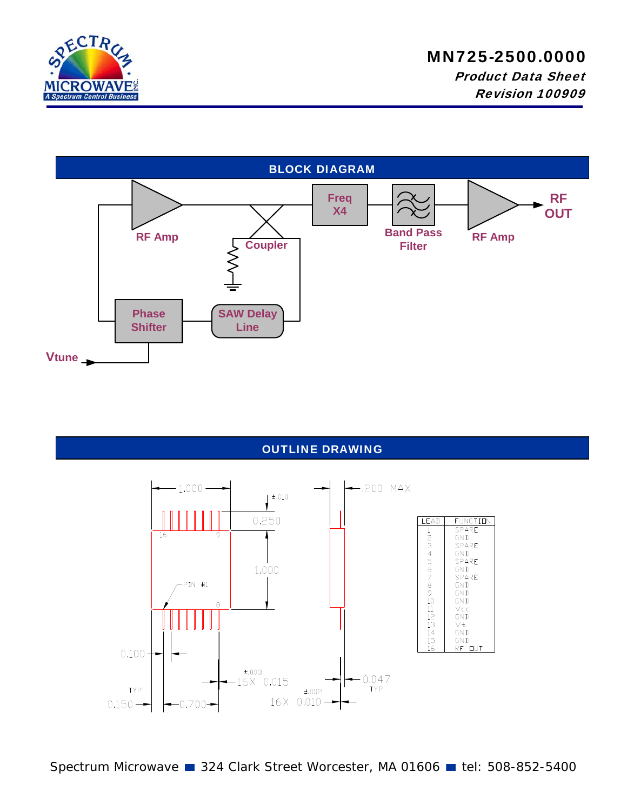

# MN725-2500.0000

 Product Data Sheet Revision 100909



#### OUTLINE DRAWING